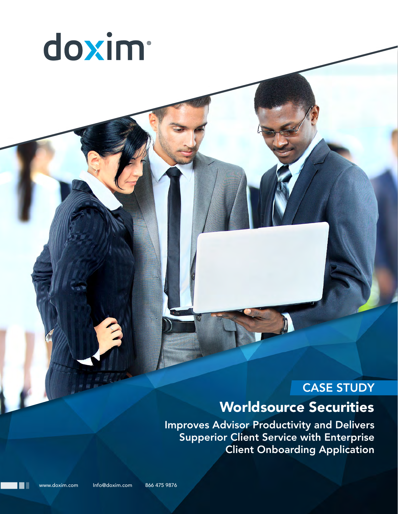

# CASE STUDY

# Worldsource Securities

Improves Advisor Productivity and Delivers Supperior Client Service with Enterprise Client Onboarding Application

www.doxim.com Info@doxim.com 866 475 9876

∎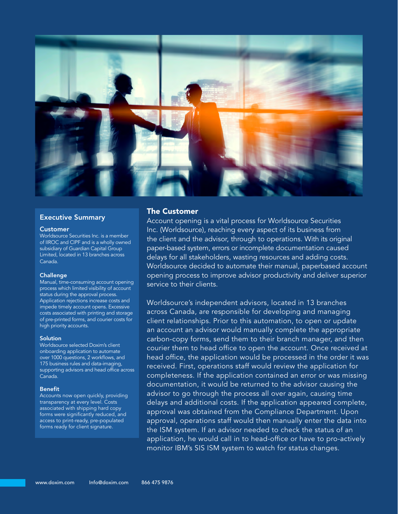

#### Executive Summary

#### **Customer**

Worldsource Securities Inc. is a member of IIROC and CIPF and is a wholly owned subsidiary of Guardian Capital Group Limited, located in 13 branches across Canada.

#### Challenge

Manual, time-consuming account opening process which limited visibility of account status during the approval process. Application rejections increase costs and impede timely account opens. Excessive costs associated with printing and storage of pre-printed forms, and courier costs for high priority accounts.

#### **Solution**

Worldsource selected Doxim's client onboarding application to automate over 1000 questions, 2 workflows, and 175 business rules and data-imaging, supporting advisors and head office across Canada.

#### Benefit

Accounts now open quickly, providing transparency at every level. Costs associated with shipping hard copy forms were significantly reduced, and access to print-ready, pre-populated forms ready for client signature.

#### The Customer

Account opening is a vital process for Worldsource Securities Inc. (Worldsource), reaching every aspect of its business from the client and the advisor, through to operations. With its original paper-based system, errors or incomplete documentation caused delays for all stakeholders, wasting resources and adding costs. Worldsource decided to automate their manual, paperbased account opening process to improve advisor productivity and deliver superior service to their clients.

Worldsource's independent advisors, located in 13 branches across Canada, are responsible for developing and managing client relationships. Prior to this automation, to open or update an account an advisor would manually complete the appropriate carbon-copy forms, send them to their branch manager, and then courier them to head office to open the account. Once received at head office, the application would be processed in the order it was received. First, operations staff would review the application for completeness. If the application contained an error or was missing documentation, it would be returned to the advisor causing the advisor to go through the process all over again, causing time delays and additional costs. If the application appeared complete, approval was obtained from the Compliance Department. Upon approval, operations staff would then manually enter the data into the ISM system. If an advisor needed to check the status of an application, he would call in to head-office or have to pro-actively monitor IBM's SIS ISM system to watch for status changes.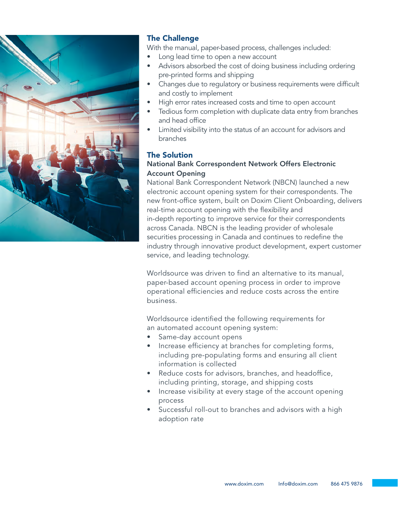

# The Challenge

With the manual, paper-based process, challenges included:

- Long lead time to open a new account
- Advisors absorbed the cost of doing business including ordering pre-printed forms and shipping
- Changes due to regulatory or business requirements were difficult and costly to implement
- High error rates increased costs and time to open account
- Tedious form completion with duplicate data entry from branches and head office
- Limited visibility into the status of an account for advisors and branches

### The Solution

## National Bank Correspondent Network Offers Electronic Account Opening

National Bank Correspondent Network (NBCN) launched a new electronic account opening system for their correspondents. The new front-office system, built on Doxim Client Onboarding, delivers real-time account opening with the flexibility and in-depth reporting to improve service for their correspondents across Canada. NBCN is the leading provider of wholesale securities processing in Canada and continues to redefine the industry through innovative product development, expert customer service, and leading technology.

Worldsource was driven to find an alternative to its manual, paper-based account opening process in order to improve operational efficiencies and reduce costs across the entire business.

Worldsource identified the following requirements for an automated account opening system:

- Same-day account opens
- Increase efficiency at branches for completing forms, including pre-populating forms and ensuring all client information is collected
- Reduce costs for advisors, branches, and headoffice, including printing, storage, and shipping costs
- Increase visibility at every stage of the account opening process
- Successful roll-out to branches and advisors with a high adoption rate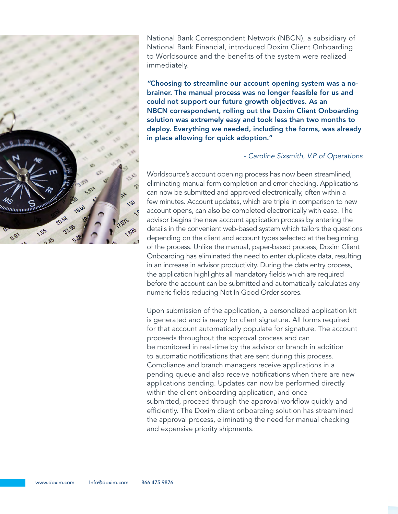

National Bank Correspondent Network (NBCN), a subsidiary of National Bank Financial, introduced Doxim Client Onboarding to Worldsource and the benefits of the system were realized immediately.

*"*Choosing to streamline our account opening system was a nobrainer. The manual process was no longer feasible for us and could not support our future growth objectives. As an NBCN correspondent, rolling out the Doxim Client Onboarding solution was extremely easy and took less than two months to deploy. Everything we needed, including the forms, was already in place allowing for quick adoption."

#### *- Caroline Sixsmith, V.P of Operations*

Worldsource's account opening process has now been streamlined, eliminating manual form completion and error checking. Applications can now be submitted and approved electronically, often within a few minutes. Account updates, which are triple in comparison to new account opens, can also be completed electronically with ease. The advisor begins the new account application process by entering the details in the convenient web-based system which tailors the questions depending on the client and account types selected at the beginning of the process. Unlike the manual, paper-based process, Doxim Client Onboarding has eliminated the need to enter duplicate data, resulting in an increase in advisor productivity. During the data entry process, the application highlights all mandatory fields which are required before the account can be submitted and automatically calculates any numeric fields reducing Not In Good Order scores.

Upon submission of the application, a personalized application kit is generated and is ready for client signature. All forms required for that account automatically populate for signature. The account proceeds throughout the approval process and can be monitored in real-time by the advisor or branch in addition to automatic notifications that are sent during this process. Compliance and branch managers receive applications in a pending queue and also receive notifications when there are new applications pending. Updates can now be performed directly within the client onboarding application, and once submitted, proceed through the approval workflow quickly and efficiently. The Doxim client onboarding solution has streamlined the approval process, eliminating the need for manual checking and expensive priority shipments.